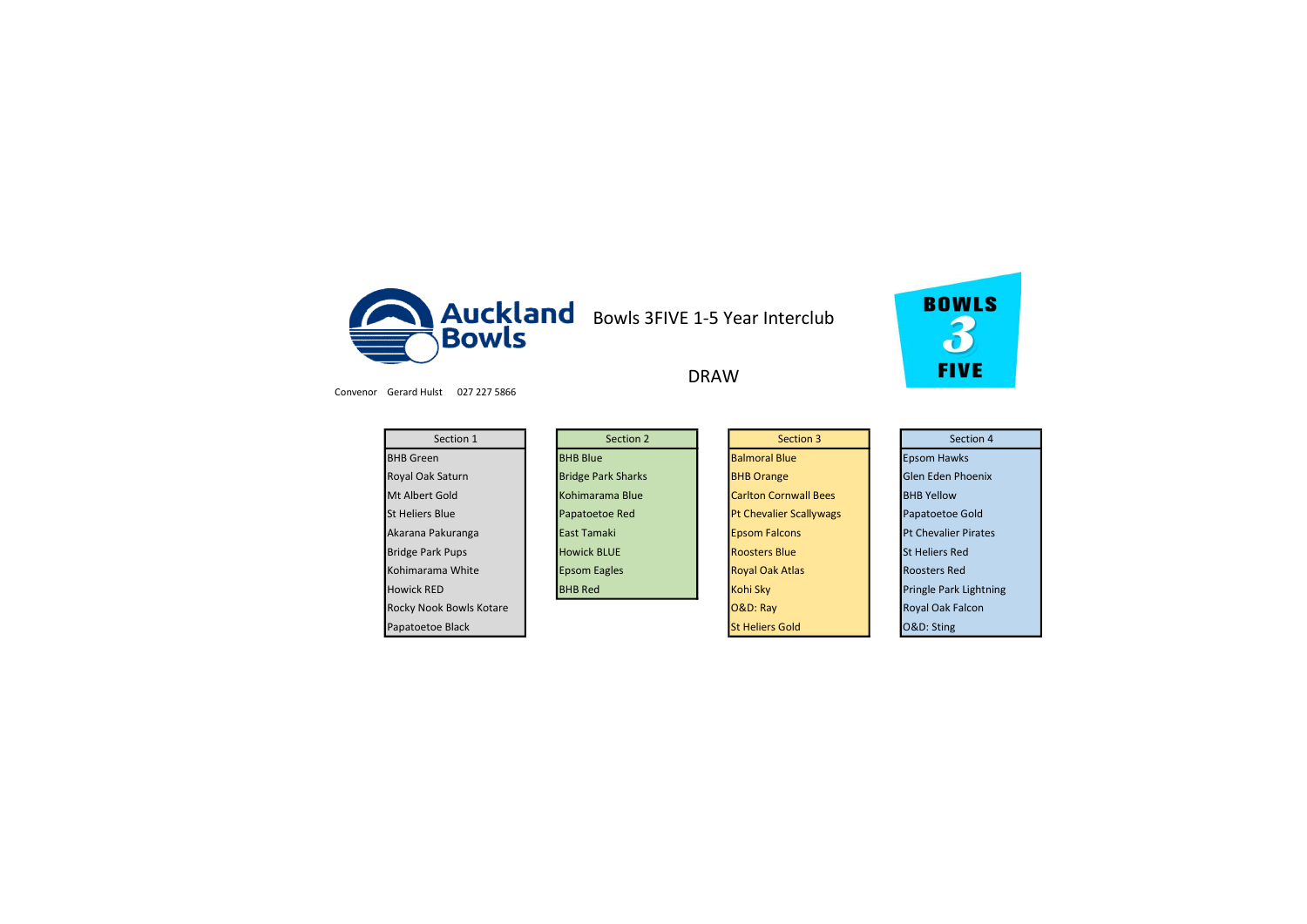



DRAW

Convenor Gerard Hulst 027 227 5866

| Section 1               | Section 2                 | Section 3                      | Section 4                   |
|-------------------------|---------------------------|--------------------------------|-----------------------------|
| <b>BHB</b> Green        | <b>BHB Blue</b>           | <b>Balmoral Blue</b>           | <b>Epsom Hawks</b>          |
| <b>Royal Oak Saturn</b> | <b>Bridge Park Sharks</b> | <b>BHB Orange</b>              | Glen Eden Phoenix           |
| Mt Albert Gold          | Kohimarama Blue           | <b>Carlton Cornwall Bees</b>   | <b>BHB Yellow</b>           |
| <b>St Heliers Blue</b>  | Papatoetoe Red            | <b>Pt Chevalier Scallywags</b> | Papatoetoe Gold             |
| Akarana Pakuranga       | East Tamaki               | <b>Epsom Falcons</b>           | <b>Pt Chevalier Pirates</b> |
| <b>Bridge Park Pups</b> | <b>Howick BLUE</b>        | <b>Roosters Blue</b>           | <b>St Heliers Red</b>       |
| Kohimarama White        | <b>Epsom Eagles</b>       | <b>Royal Oak Atlas</b>         | <b>Roosters Red</b>         |
| <b>Howick RED</b>       | <b>BHB Red</b>            | Kohi Sky                       | Pringle Park Lightning      |
| Rocky Nook Bowls Kotare |                           | O&D: Ray                       | <b>Royal Oak Falcon</b>     |
| Papatoetoe Black        |                           | <b>St Heliers Gold</b>         | O&D: Sting                  |

| Section 1                 | Section 2                 | Section 3                      | Section 4                                                                        |
|---------------------------|---------------------------|--------------------------------|----------------------------------------------------------------------------------|
|                           | <b>BHB</b> Blue           | <b>Balmoral Blue</b>           | <b>Epsom Hawks</b>                                                               |
| Saturn                    | <b>Bridge Park Sharks</b> | <b>BHB Orange</b>              | <b>Glen Eden Phoenix</b>                                                         |
| Gold                      | Kohimarama Blue           | <b>Carlton Cornwall Bees</b>   | <b>BHB Yellow</b>                                                                |
| <b>Blue</b>               | Papatoetoe Red            | <b>Pt Chevalier Scallywags</b> | Papatoetoe Gold                                                                  |
| akuranga                  | East Tamaki               | <b>Epsom Falcons</b>           | <b>Pt Chevalier Pirates</b>                                                      |
| k Pups <sup>-</sup>       | <b>Howick BLUE</b>        | <b>Roosters Blue</b>           | <b>St Heliers Red</b>                                                            |
| ma White                  | <b>Epsom Eagles</b>       | <b>Royal Oak Atlas</b>         | <b>Roosters Red</b>                                                              |
| ED.                       | <b>BHB</b> Red            | Kohi Sky                       | Pringle Park Lightni                                                             |
| ومستور المستحيل والمستحين |                           | 0.0.01                         | $\mathbf{D}$ and $\mathbf{D}$ and $\mathbf{D}$ and $\mathbf{D}$ and $\mathbf{D}$ |

|          | Section 3                      |
|----------|--------------------------------|
|          | <b>Balmoral Blue</b>           |
|          | <b>BHB Orange</b>              |
|          | <b>Carlton Cornwall Bees</b>   |
|          | <b>Pt Chevalier Scallywags</b> |
|          | <b>Epsom Falcons</b>           |
|          | <b>Roosters Blue</b>           |
|          | <b>Royal Oak Atlas</b>         |
| Kohi Sky |                                |
| O&D: Ray |                                |
|          | <b>St Heliers Gold</b>         |

| Section 4                   |
|-----------------------------|
| <b>Epsom Hawks</b>          |
| <b>Glen Eden Phoenix</b>    |
| <b>BHB Yellow</b>           |
| Papatoetoe Gold             |
| <b>Pt Chevalier Pirates</b> |
| <b>St Heliers Red</b>       |
| <b>Roosters Red</b>         |
| Pringle Park Lightning      |
| <b>Royal Oak Falcon</b>     |
| O&D: Sting                  |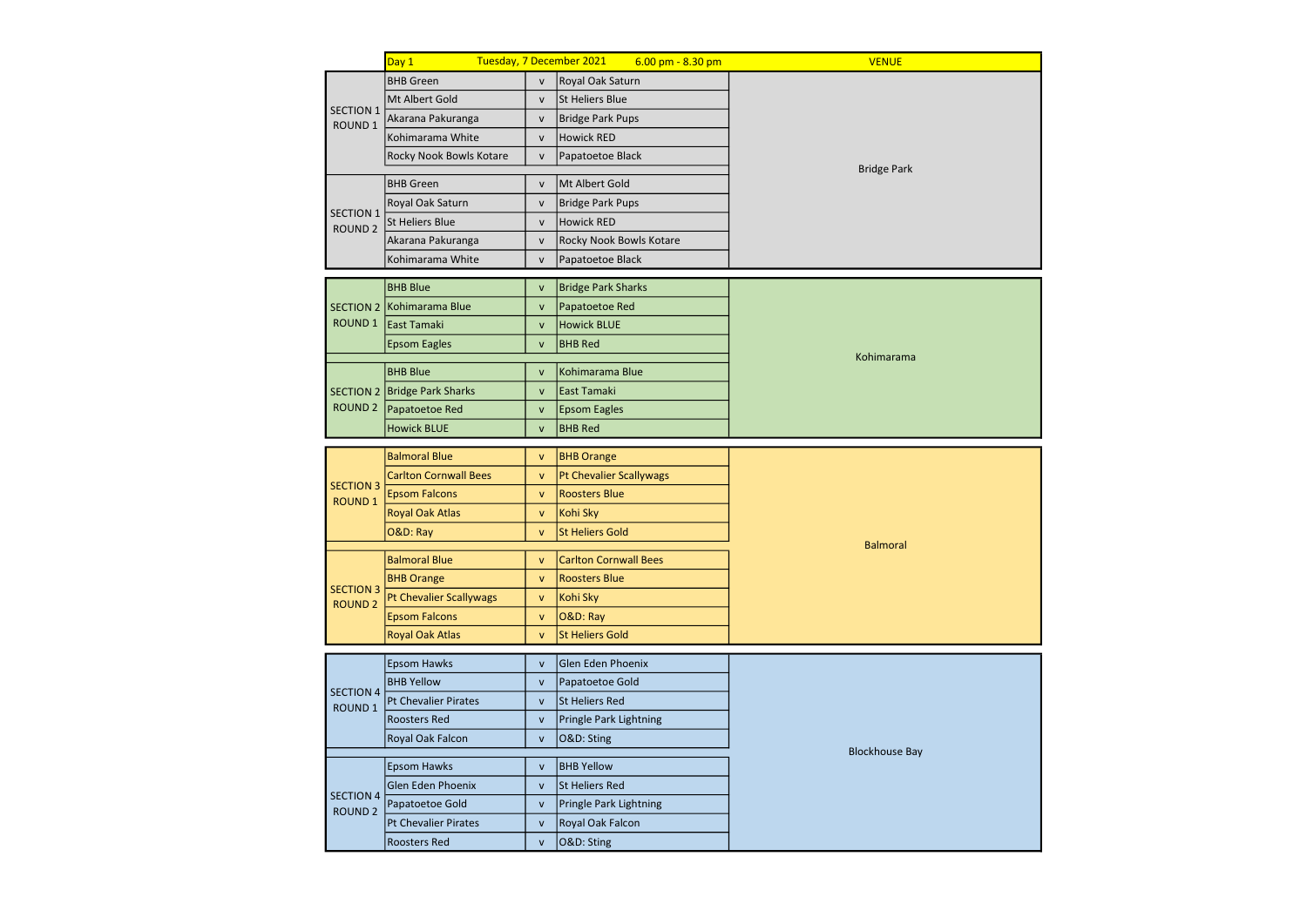|                                    | Day 1                        |              | Tuesday, 7 December 2021       | $6.00$ pm - $8.30$ pm   | <b>VENUE</b>          |  |  |
|------------------------------------|------------------------------|--------------|--------------------------------|-------------------------|-----------------------|--|--|
|                                    | <b>BHB</b> Green             | $\mathsf{v}$ | Royal Oak Saturn               |                         |                       |  |  |
| <b>SECTION 1</b>                   | Mt Albert Gold               | $\mathsf{v}$ | <b>St Heliers Blue</b>         |                         |                       |  |  |
| ROUND <sub>1</sub>                 | Akarana Pakuranga            | $\mathsf{v}$ | <b>Bridge Park Pups</b>        |                         |                       |  |  |
|                                    | Kohimarama White             | $\mathsf{V}$ | Howick RED                     |                         |                       |  |  |
|                                    | Rocky Nook Bowls Kotare      | $\mathsf{v}$ | Papatoetoe Black               |                         | <b>Bridge Park</b>    |  |  |
|                                    | <b>BHB</b> Green             | $\mathsf{v}$ | Mt Albert Gold                 |                         |                       |  |  |
|                                    | Royal Oak Saturn             | $\mathsf{v}$ | <b>Bridge Park Pups</b>        |                         |                       |  |  |
| <b>SECTION 1</b><br><b>ROUND 2</b> | <b>St Heliers Blue</b>       | $\mathsf{v}$ | <b>Howick RED</b>              |                         |                       |  |  |
|                                    | Akarana Pakuranga            | $\mathsf{v}$ |                                | Rocky Nook Bowls Kotare |                       |  |  |
|                                    | Kohimarama White             | $\mathsf{V}$ | Papatoetoe Black               |                         |                       |  |  |
|                                    | <b>BHB Blue</b>              | $\mathsf{v}$ | <b>Bridge Park Sharks</b>      |                         |                       |  |  |
|                                    | SECTION 2 Kohimarama Blue    | $\mathsf{v}$ | Papatoetoe Red                 |                         |                       |  |  |
| ROUND 1                            | <b>East Tamaki</b>           | $\mathsf{v}$ | <b>Howick BLUE</b>             |                         |                       |  |  |
|                                    | <b>Epsom Eagles</b>          | $\mathsf{v}$ | <b>BHB Red</b>                 |                         |                       |  |  |
|                                    | <b>BHB Blue</b>              | ${\sf v}$    | Kohimarama Blue                |                         | Kohimarama            |  |  |
|                                    | SECTION 2 Bridge Park Sharks | ${\sf v}$    | East Tamaki                    |                         |                       |  |  |
|                                    | ROUND 2 Papatoetoe Red       | $\mathsf{v}$ | <b>Epsom Eagles</b>            |                         |                       |  |  |
|                                    | <b>Howick BLUE</b>           | $\mathsf{v}$ | <b>BHB Red</b>                 |                         |                       |  |  |
|                                    |                              |              |                                |                         |                       |  |  |
|                                    | <b>Balmoral Blue</b>         | $\mathsf{v}$ | <b>BHB Orange</b>              |                         |                       |  |  |
| <b>SECTION 3</b>                   | <b>Carlton Cornwall Bees</b> | $\mathsf{v}$ | <b>Pt Chevalier Scallywags</b> |                         |                       |  |  |
| <b>ROUND 1</b>                     | <b>Epsom Falcons</b>         | $\mathsf{v}$ | <b>Roosters Blue</b>           |                         |                       |  |  |
|                                    | Royal Oak Atlas              | $\mathsf{v}$ | Kohi Sky                       |                         |                       |  |  |
|                                    | O&D: Ray                     | $\mathsf{v}$ | <b>St Heliers Gold</b>         |                         | <b>Balmoral</b>       |  |  |
|                                    | <b>Balmoral Blue</b>         | $\mathsf{v}$ | <b>Carlton Cornwall Bees</b>   |                         |                       |  |  |
| <b>SECTION 3</b>                   | <b>BHB Orange</b>            | $\mathsf{v}$ | <b>Roosters Blue</b>           |                         |                       |  |  |
| <b>ROUND 2</b>                     | Pt Chevalier Scallywags      | $\mathsf{v}$ | Kohi Sky                       |                         |                       |  |  |
|                                    | <b>Epsom Falcons</b>         | $\mathsf{v}$ | O&D: Ray                       |                         |                       |  |  |
|                                    | <b>Royal Oak Atlas</b>       | $\mathsf{v}$ | <b>St Heliers Gold</b>         |                         |                       |  |  |
|                                    | <b>Epsom Hawks</b>           | ${\sf v}$    | Glen Eden Phoenix              |                         |                       |  |  |
| <b>SECTION 4</b>                   | <b>BHB Yellow</b>            | ${\sf v}$    | Papatoetoe Gold                |                         |                       |  |  |
| ROUND <sub>1</sub>                 | <b>Pt Chevalier Pirates</b>  | ${\sf v}$    | <b>St Heliers Red</b>          |                         |                       |  |  |
|                                    | Roosters Red                 | $\mathsf{v}$ | Pringle Park Lightning         |                         |                       |  |  |
|                                    | Royal Oak Falcon             | $\mathsf{v}$ | O&D: Sting                     |                         |                       |  |  |
|                                    | <b>Epsom Hawks</b>           | ${\sf v}$    | <b>BHB Yellow</b>              |                         | <b>Blockhouse Bay</b> |  |  |
|                                    | Glen Eden Phoenix            | $\mathsf{v}$ | <b>St Heliers Red</b>          |                         |                       |  |  |
| <b>SECTION 4</b><br><b>ROUND 2</b> | Papatoetoe Gold              | $\mathsf{v}$ | Pringle Park Lightning         |                         |                       |  |  |
|                                    | <b>Pt Chevalier Pirates</b>  | $\mathsf{v}$ | Royal Oak Falcon               |                         |                       |  |  |
|                                    | <b>Roosters Red</b>          | $\mathsf{v}$ | O&D: Sting                     |                         |                       |  |  |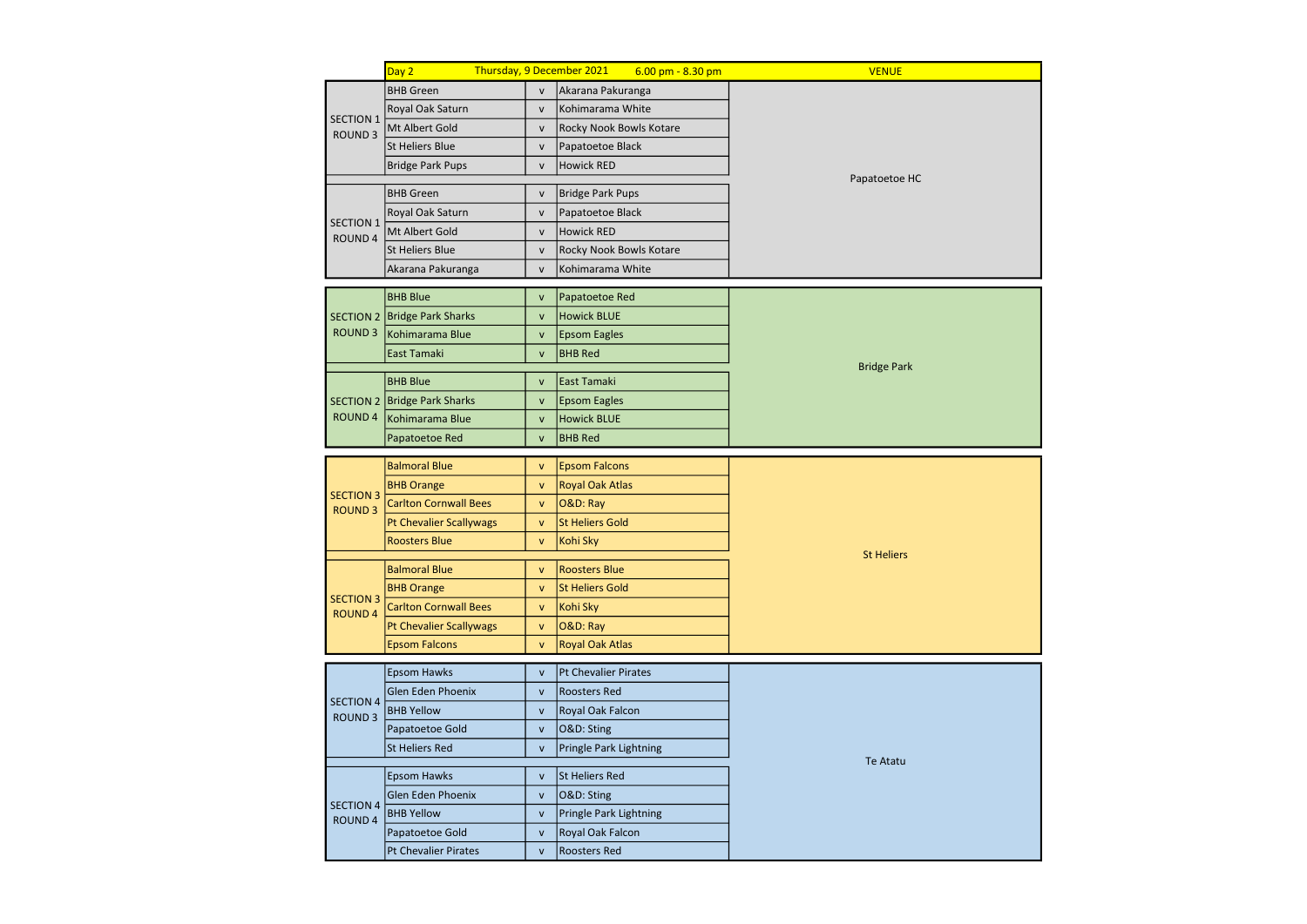|                                    | Day 2                                    |                              | Thursday, 9 December 2021                      | $6.00$ pm - $8.30$ pm   | <b>VENUE</b>       |  |  |  |
|------------------------------------|------------------------------------------|------------------------------|------------------------------------------------|-------------------------|--------------------|--|--|--|
|                                    | <b>BHB</b> Green                         | $\mathsf{V}$                 | Akarana Pakuranga                              |                         |                    |  |  |  |
| <b>SECTION 1</b>                   | Royal Oak Saturn                         | $\mathsf{V}$                 | Kohimarama White                               |                         |                    |  |  |  |
| ROUND <sub>3</sub>                 | Mt Albert Gold                           | $\mathsf{V}$                 | Rocky Nook Bowls Kotare                        |                         |                    |  |  |  |
|                                    | <b>St Heliers Blue</b>                   | $\mathsf{v}$                 | Papatoetoe Black                               |                         |                    |  |  |  |
| <b>Bridge Park Pups</b>            |                                          | $\mathsf{v}$                 | <b>Howick RED</b>                              |                         |                    |  |  |  |
|                                    | <b>BHB</b> Green                         | $\mathsf{V}$                 | <b>Bridge Park Pups</b>                        |                         | Papatoetoe HC      |  |  |  |
|                                    | Royal Oak Saturn                         | $\mathsf{V}$                 | Papatoetoe Black                               |                         |                    |  |  |  |
| <b>SECTION 1</b>                   | Mt Albert Gold                           | $\mathsf{v}$                 | <b>Howick RED</b>                              |                         |                    |  |  |  |
| ROUND 4                            | <b>St Heliers Blue</b>                   | $\mathsf{v}$                 |                                                | Rocky Nook Bowls Kotare |                    |  |  |  |
|                                    | Akarana Pakuranga                        | $\mathsf{v}$                 | Kohimarama White                               |                         |                    |  |  |  |
|                                    |                                          |                              |                                                |                         |                    |  |  |  |
|                                    | <b>BHB Blue</b>                          | $\mathsf{v}$                 | Papatoetoe Red                                 |                         |                    |  |  |  |
| <b>SECTION 2</b>                   | Bridge Park Sharks                       | $\mathsf{v}$                 | <b>Howick BLUE</b>                             |                         |                    |  |  |  |
| <b>ROUND 3</b>                     | Kohimarama Blue                          | $\mathsf{V}$                 | <b>Epsom Eagles</b>                            |                         |                    |  |  |  |
|                                    | East Tamaki                              | $\mathsf{v}$                 | <b>BHB Red</b>                                 |                         | <b>Bridge Park</b> |  |  |  |
|                                    | <b>BHB Blue</b>                          | $\mathsf{v}$                 | East Tamaki                                    |                         |                    |  |  |  |
|                                    | SECTION 2   Bridge Park Sharks           | $\mathsf{v}$                 | <b>Epsom Eagles</b>                            |                         |                    |  |  |  |
| <b>ROUND 4</b>                     | Kohimarama Blue                          | $\mathsf{v}$                 | <b>Howick BLUE</b>                             |                         |                    |  |  |  |
|                                    | Papatoetoe Red                           | $\mathsf{v}$                 | <b>BHB Red</b>                                 |                         |                    |  |  |  |
|                                    | <b>Balmoral Blue</b>                     |                              |                                                |                         |                    |  |  |  |
|                                    | <b>BHB Orange</b>                        | $\mathsf{v}$<br>$\mathsf{v}$ | <b>Epsom Falcons</b><br><b>Royal Oak Atlas</b> |                         |                    |  |  |  |
| <b>SECTION 3</b>                   | <b>Carlton Cornwall Bees</b>             |                              |                                                |                         |                    |  |  |  |
| <b>ROUND 3</b>                     |                                          | $\mathsf{v}$<br>$\mathsf{v}$ | O&D: Ray<br><b>St Heliers Gold</b>             |                         |                    |  |  |  |
|                                    | Pt Chevalier Scallywags<br>Roosters Blue | $\mathsf{v}$                 | Kohi Sky                                       |                         |                    |  |  |  |
|                                    |                                          |                              |                                                |                         | <b>St Heliers</b>  |  |  |  |
|                                    | <b>Balmoral Blue</b>                     | $\mathsf{V}$                 | <b>Roosters Blue</b>                           |                         |                    |  |  |  |
| <b>SECTION 3</b>                   | <b>BHB Orange</b>                        | $\mathsf{v}$                 | <b>St Heliers Gold</b>                         |                         |                    |  |  |  |
| <b>ROUND 4</b>                     | <b>Carlton Cornwall Bees</b>             | $\mathsf{V}$                 | Kohi Sky                                       |                         |                    |  |  |  |
|                                    | <b>Pt Chevalier Scallywags</b>           | $\mathsf{v}$                 | O&D: Ray                                       |                         |                    |  |  |  |
|                                    | <b>Epsom Falcons</b>                     | $\mathsf{v}$                 | <b>Royal Oak Atlas</b>                         |                         |                    |  |  |  |
|                                    | <b>Epsom Hawks</b>                       | $\mathsf{v}$                 | <b>Pt Chevalier Pirates</b>                    |                         |                    |  |  |  |
|                                    | Glen Eden Phoenix                        | $\mathsf{v}$                 | <b>Roosters Red</b>                            |                         |                    |  |  |  |
| <b>SECTION 4</b><br><b>ROUND 3</b> | <b>BHB Yellow</b>                        | $\mathsf{v}$                 | Royal Oak Falcon                               |                         |                    |  |  |  |
|                                    | Papatoetoe Gold                          | $\mathsf{v}$                 | O&D: Sting                                     |                         |                    |  |  |  |
|                                    | <b>St Heliers Red</b>                    | $\mathsf{v}$                 | Pringle Park Lightning                         |                         |                    |  |  |  |
|                                    |                                          |                              | <b>St Heliers Red</b>                          |                         | <b>Te Atatu</b>    |  |  |  |
|                                    | <b>Epsom Hawks</b><br>Glen Eden Phoenix  | $\mathsf{v}$<br>$\mathsf{v}$ | O&D: Sting                                     |                         |                    |  |  |  |
| <b>SECTION 4</b>                   | <b>BHB Yellow</b>                        | $\mathsf{v}$                 | Pringle Park Lightning                         |                         |                    |  |  |  |
| <b>ROUND 4</b>                     | Papatoetoe Gold                          | $\mathsf{v}$                 | Royal Oak Falcon                               |                         |                    |  |  |  |
|                                    | <b>Pt Chevalier Pirates</b>              | $\mathsf{v}$                 | <b>Roosters Red</b>                            |                         |                    |  |  |  |
|                                    |                                          |                              |                                                |                         |                    |  |  |  |